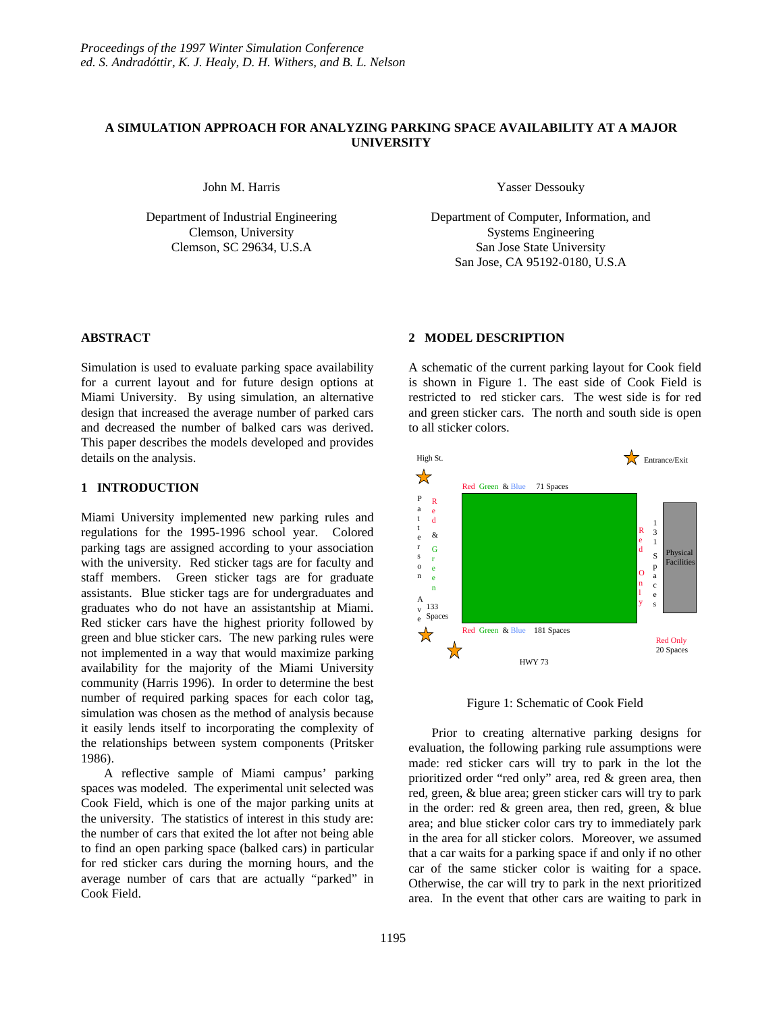# **A SIMULATION APPROACH FOR ANALYZING PARKING SPACE AVAILABILITY AT A MAJOR UNIVERSITY**

John M. Harris

Department of Industrial Engineering Clemson, University Clemson, SC 29634, U.S.A

Yasser Dessouky

Department of Computer, Information, and Systems Engineering San Jose State University San Jose, CA 95192-0180, U.S.A

### **ABSTRACT**

Simulation is used to evaluate parking space availability for a current layout and for future design options at Miami University. By using simulation, an alternative design that increased the average number of parked cars and decreased the number of balked cars was derived. This paper describes the models developed and provides details on the analysis.

## **1 INTRODUCTION**

Miami University implemented new parking rules and regulations for the 1995-1996 school year. Colored parking tags are assigned according to your association with the university. Red sticker tags are for faculty and staff members. Green sticker tags are for graduate assistants. Blue sticker tags are for undergraduates and graduates who do not have an assistantship at Miami. Red sticker cars have the highest priority followed by green and blue sticker cars. The new parking rules were not implemented in a way that would maximize parking availability for the majority of the Miami University community (Harris 1996). In order to determine the best number of required parking spaces for each color tag, simulation was chosen as the method of analysis because it easily lends itself to incorporating the complexity of the relationships between system components (Pritsker 1986).

A reflective sample of Miami campus' parking spaces was modeled. The experimental unit selected was Cook Field, which is one of the major parking units at the university. The statistics of interest in this study are: the number of cars that exited the lot after not being able to find an open parking space (balked cars) in particular for red sticker cars during the morning hours, and the average number of cars that are actually "parked" in Cook Field.

### **2 MODEL DESCRIPTION**

A schematic of the current parking layout for Cook field is shown in Figure 1. The east side of Cook Field is restricted to red sticker cars. The west side is for red and green sticker cars. The north and south side is open to all sticker colors.



Figure 1: Schematic of Cook Field

Prior to creating alternative parking designs for evaluation, the following parking rule assumptions were made: red sticker cars will try to park in the lot the prioritized order "red only" area, red & green area, then red, green, & blue area; green sticker cars will try to park in the order: red & green area, then red, green, & blue area; and blue sticker color cars try to immediately park in the area for all sticker colors. Moreover, we assumed that a car waits for a parking space if and only if no other car of the same sticker color is waiting for a space. Otherwise, the car will try to park in the next prioritized area. In the event that other cars are waiting to park in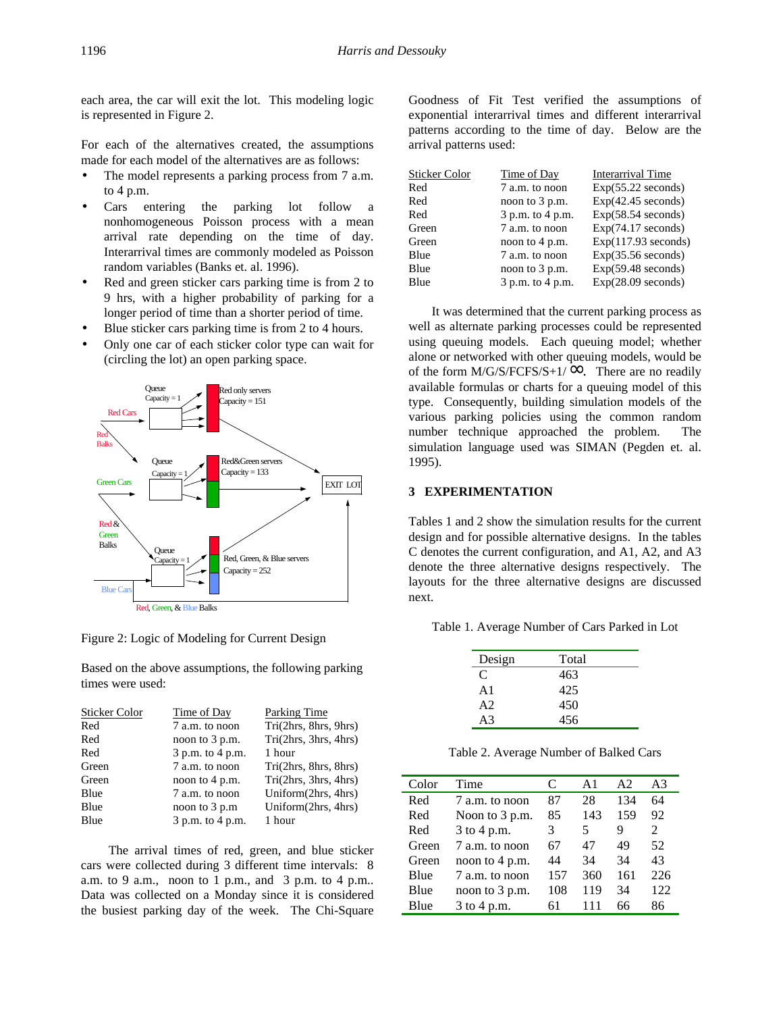each area, the car will exit the lot. This modeling logic is represented in Figure 2.

For each of the alternatives created, the assumptions made for each model of the alternatives are as follows:

- The model represents a parking process from 7 a.m. to 4 p.m.
- Cars entering the parking lot follow a nonhomogeneous Poisson process with a mean arrival rate depending on the time of day. Interarrival times are commonly modeled as Poisson random variables (Banks et. al. 1996).
- Red and green sticker cars parking time is from 2 to 9 hrs, with a higher probability of parking for a longer period of time than a shorter period of time.
- Blue sticker cars parking time is from 2 to 4 hours.
- Only one car of each sticker color type can wait for (circling the lot) an open parking space.



Figure 2: Logic of Modeling for Current Design

Based on the above assumptions, the following parking times were used:

| <b>Sticker Color</b> | Time of Day      | Parking Time          |
|----------------------|------------------|-----------------------|
| Red                  | 7 a.m. to noon   | Tri(2hrs, 8hrs, 9hrs) |
| Red                  | noon to 3 p.m.   | Tri(2hrs, 3hrs, 4hrs) |
| Red                  | 3 p.m. to 4 p.m. | 1 hour                |
| Green                | 7 a.m. to noon   | Tri(2hrs, 8hrs, 8hrs) |
| Green                | noon to 4 p.m.   | Tri(2hrs, 3hrs, 4hrs) |
| Blue                 | 7 a.m. to noon   | Uniform(2hrs, 4hrs)   |
| Blue                 | noon to 3 p.m    | Uniform(2hrs, 4hrs)   |
| Blue                 | 3 p.m. to 4 p.m. | 1 hour                |
|                      |                  |                       |

The arrival times of red, green, and blue sticker cars were collected during 3 different time intervals: 8 a.m. to 9 a.m., noon to 1 p.m., and 3 p.m. to 4 p.m.. Data was collected on a Monday since it is considered the busiest parking day of the week. The Chi-Square Goodness of Fit Test verified the assumptions of exponential interarrival times and different interarrival patterns according to the time of day. Below are the arrival patterns used:

| <b>Sticker Color</b> | Time of Day              | Interarrival Time    |
|----------------------|--------------------------|----------------------|
| Red                  | 7 a.m. to noon           | $Exp(55.22$ seconds) |
| Red                  | noon to 3 p.m.           | $Exp(42.45$ seconds) |
| Red                  | 3 p.m. to 4 p.m.         | Exp(58.54 seconds)   |
| Green                | 7 a.m. to noon           | Exp(74.17 seconds)   |
| Green                | noon to $4 \text{ p.m.}$ | Exp(117.93 seconds)  |
| Blue                 | 7 a.m. to noon           | Exp(35.56 seconds)   |
| Blue                 | noon to 3 p.m.           | Exp(59.48 seconds)   |
| Blue                 | 3 p.m. to 4 p.m.         | $Exp(28.09$ seconds) |

It was determined that the current parking process as well as alternate parking processes could be represented using queuing models. Each queuing model; whether alone or networked with other queuing models, would be of the form  $M/G/S/FCFS/S+1/\infty$ . There are no readily available formulas or charts for a queuing model of this type. Consequently, building simulation models of the various parking policies using the common random number technique approached the problem. The simulation language used was SIMAN (Pegden et. al. 1995).

# **3 EXPERIMENTATION**

Tables 1 and 2 show the simulation results for the current design and for possible alternative designs. In the tables C denotes the current configuration, and A1, A2, and A3 denote the three alternative designs respectively. The layouts for the three alternative designs are discussed next.

Table 1. Average Number of Cars Parked in Lot

| Design         | Total |  |
|----------------|-------|--|
| C              | 463   |  |
| A <sub>1</sub> | 425   |  |
| A2             | 450   |  |
| A <sup>3</sup> | 456   |  |

Table 2. Average Number of Balked Cars

| Color | Time           | C   | A <sub>1</sub> | A2  | A3  |
|-------|----------------|-----|----------------|-----|-----|
| Red   | 7 a.m. to noon | 87  | 28             | 134 | 64  |
| Red   | Noon to 3 p.m. | 85  | 143            | 159 | 92  |
| Red   | 3 to 4 p.m.    | 3   | 5              | 9   | 2   |
| Green | 7 a.m. to noon | 67  | 47             | 49  | 52  |
| Green | noon to 4 p.m. | 44  | 34             | 34  | 43  |
| Blue  | 7 a.m. to noon | 157 | 360            | 161 | 226 |
| Blue  | noon to 3 p.m. | 108 | 119            | 34  | 122 |
| Blue  | 3 to 4 p.m.    | 61  | 111            | 66  | 86  |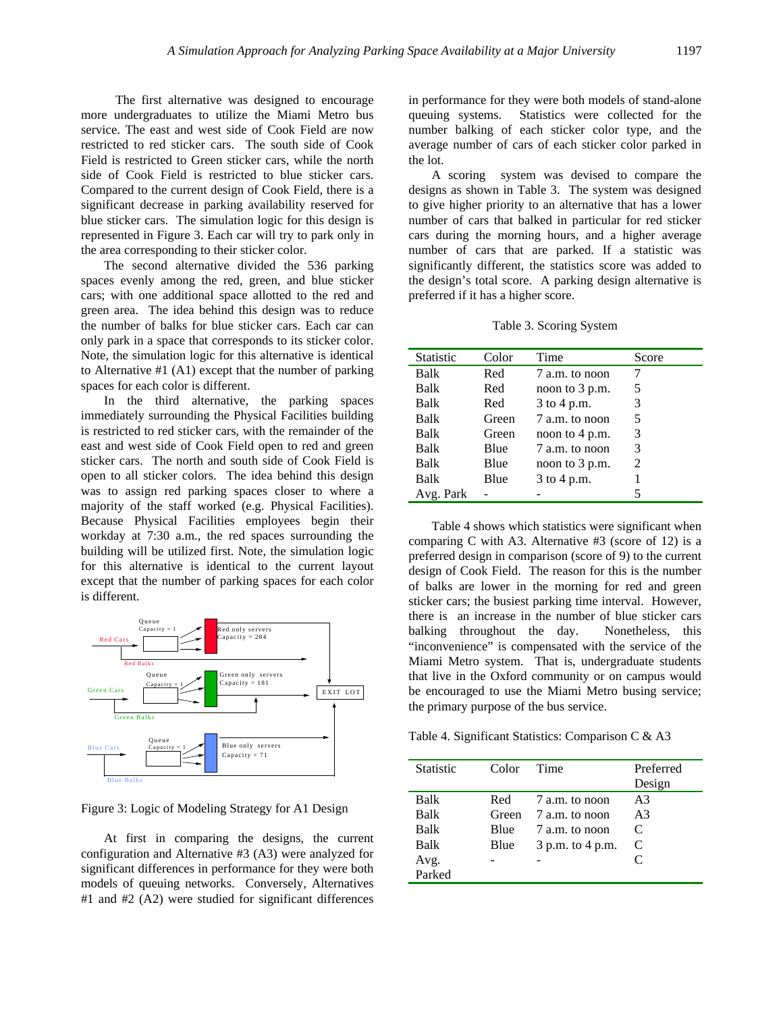The first alternative was designed to encourage more undergraduates to utilize the Miami Metro bus service. The east and west side of Cook Field are now restricted to red sticker cars. The south side of Cook Field is restricted to Green sticker cars, while the north side of Cook Field is restricted to blue sticker cars. Compared to the current design of Cook Field, there is a significant decrease in parking availability reserved for blue sticker cars. The simulation logic for this design is represented in Figure 3. Each car will try to park only in the area corresponding to their sticker color.

The second alternative divided the 536 parking spaces evenly among the red, green, and blue sticker cars; with one additional space allotted to the red and green area. The idea behind this design was to reduce the number of balks for blue sticker cars. Each car can only park in a space that corresponds to its sticker color. Note, the simulation logic for this alternative is identical to Alternative #1 (A1) except that the number of parking spaces for each color is different.

In the third alternative, the parking spaces immediately surrounding the Physical Facilities building is restricted to red sticker cars, with the remainder of the east and west side of Cook Field open to red and green sticker cars. The north and south side of Cook Field is open to all sticker colors. The idea behind this design was to assign red parking spaces closer to where a majority of the staff worked (e.g. Physical Facilities). Because Physical Facilities employees begin their workday at 7:30 a.m., the red spaces surrounding the building will be utilized first. Note, the simulation logic for this alternative is identical to the current layout except that the number of parking spaces for each color is different.



Figure 3: Logic of Modeling Strategy for A1 Design

At first in comparing the designs, the current configuration and Alternative #3 (A3) were analyzed for significant differences in performance for they were both models of queuing networks. Conversely, Alternatives #1 and #2 (A2) were studied for significant differences

in performance for they were both models of stand-alone queuing systems. Statistics were collected for the number balking of each sticker color type, and the average number of cars of each sticker color parked in the lot.

A scoring system was devised to compare the designs as shown in Table 3. The system was designed to give higher priority to an alternative that has a lower number of cars that balked in particular for red sticker cars during the morning hours, and a higher average number of cars that are parked. If a statistic was significantly different, the statistics score was added to the design's total score. A parking design alternative is preferred if it has a higher score.

Table 3. Scoring System

| <b>Statistic</b> | Color | Time             | Score          |
|------------------|-------|------------------|----------------|
| Balk             | Red   | 7 a.m. to noon   |                |
| Balk             | Red   | noon to 3 p.m.   | 5              |
| Balk             | Red   | 3 to 4 p.m.      | 3              |
| Balk             | Green | 7 a.m. to noon   | 5              |
| Balk             | Green | noon to $4$ p.m. | 3              |
| Balk             | Blue  | 7 a.m. to noon   | 3              |
| Balk             | Blue  | noon to 3 p.m.   | $\mathfrak{D}$ |
| Balk             | Blue  | 3 to 4 p.m.      |                |
| Avg. Park        |       |                  | 5              |

Table 4 shows which statistics were significant when comparing C with A3. Alternative #3 (score of 12) is a preferred design in comparison (score of 9) to the current design of Cook Field. The reason for this is the number of balks are lower in the morning for red and green sticker cars; the busiest parking time interval. However, there is an increase in the number of blue sticker cars balking throughout the day. Nonetheless, this "inconvenience" is compensated with the service of the Miami Metro system. That is, undergraduate students that live in the Oxford community or on campus would be encouraged to use the Miami Metro busing service; the primary purpose of the bus service.

Table 4. Significant Statistics: Comparison C & A3

| <b>Statistic</b> | Color       | Time             | Preferred      |
|------------------|-------------|------------------|----------------|
|                  |             |                  | Design         |
| Balk             | Red         | 7 a.m. to noon   | A <sub>3</sub> |
| Balk             | Green       | 7 a.m. to noon   | A3             |
| Balk             | <b>Blue</b> | 7 a.m. to noon   | C              |
| Balk             | Blue        | 3 p.m. to 4 p.m. | C              |
| Avg.             |             |                  | C              |
| Parked           |             |                  |                |